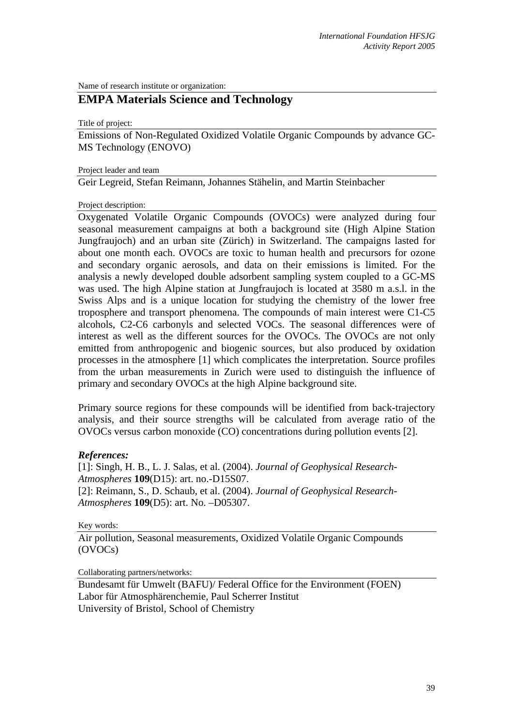Name of research institute or organization:

## **EMPA Materials Science and Technology**

Title of project:

Emissions of Non-Regulated Oxidized Volatile Organic Compounds by advance GC-MS Technology (ENOVO)

Project leader and team

Geir Legreid, Stefan Reimann, Johannes Stähelin, and Martin Steinbacher

Project description:

Oxygenated Volatile Organic Compounds (OVOCs) were analyzed during four seasonal measurement campaigns at both a background site (High Alpine Station Jungfraujoch) and an urban site (Zürich) in Switzerland. The campaigns lasted for about one month each. OVOCs are toxic to human health and precursors for ozone and secondary organic aerosols, and data on their emissions is limited. For the analysis a newly developed double adsorbent sampling system coupled to a GC-MS was used. The high Alpine station at Jungfraujoch is located at 3580 m a.s.l. in the Swiss Alps and is a unique location for studying the chemistry of the lower free troposphere and transport phenomena. The compounds of main interest were C1-C5 alcohols, C2-C6 carbonyls and selected VOCs. The seasonal differences were of interest as well as the different sources for the OVOCs. The OVOCs are not only emitted from anthropogenic and biogenic sources, but also produced by oxidation processes in the atmosphere [1] which complicates the interpretation. Source profiles from the urban measurements in Zurich were used to distinguish the influence of primary and secondary OVOCs at the high Alpine background site.

Primary source regions for these compounds will be identified from back-trajectory analysis, and their source strengths will be calculated from average ratio of the OVOCs versus carbon monoxide (CO) concentrations during pollution events [2].

## *References:*

[1]: Singh, H. B., L. J. Salas, et al. (2004). *Journal of Geophysical Research-Atmospheres* **109**(D15): art. no.-D15S07. [2]: Reimann, S., D. Schaub, et al. (2004). *Journal of Geophysical Research-Atmospheres* **109**(D5): art. No. –D05307.

Key words:

Air pollution, Seasonal measurements, Oxidized Volatile Organic Compounds (OVOCs)

Collaborating partners/networks:

Bundesamt für Umwelt (BAFU)/ Federal Office for the Environment (FOEN) Labor für Atmosphärenchemie, Paul Scherrer Institut University of Bristol, School of Chemistry